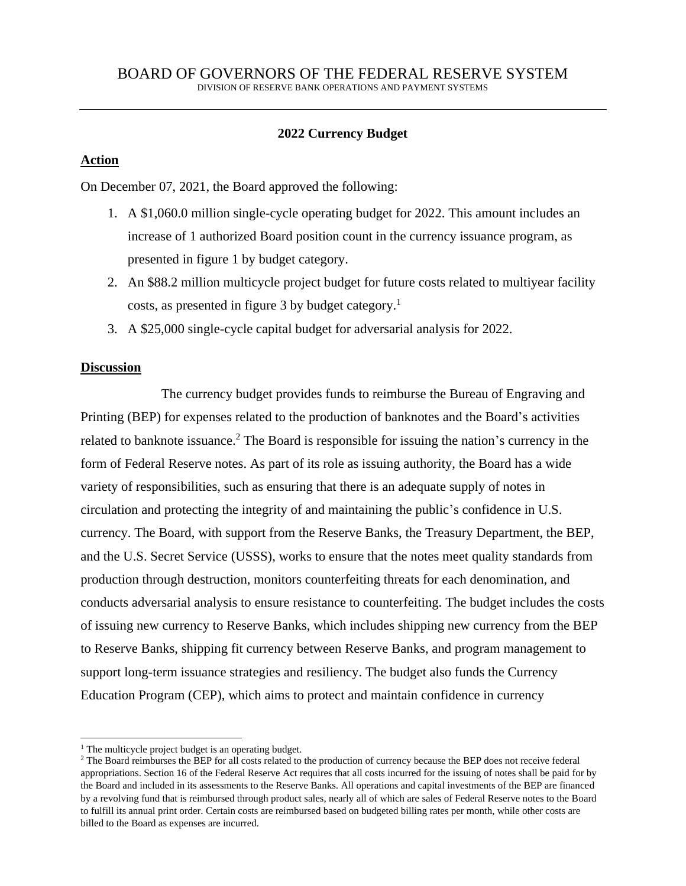# **2022 Currency Budget**

## **Action**

On December 07, 2021, the Board approved the following:

- 1. A \$1,060.0 million single-cycle operating budget for 2022. This amount includes an increase of 1 authorized Board position count in the currency issuance program, as presented in figure 1 by budget category.
- 2. An \$88.2 million multicycle project budget for future costs related to multiyear facility costs, as presented in figure 3 by budget category.<sup>1</sup>
- 3. A \$25,000 single-cycle capital budget for adversarial analysis for 2022.

## **Discussion**

The currency budget provides funds to reimburse the Bureau of Engraving and Printing (BEP) for expenses related to the production of banknotes and the Board's activities related to banknote issuance.<sup>2</sup> The Board is responsible for issuing the nation's currency in the form of Federal Reserve notes. As part of its role as issuing authority, the Board has a wide variety of responsibilities, such as ensuring that there is an adequate supply of notes in circulation and protecting the integrity of and maintaining the public's confidence in U.S. currency. The Board, with support from the Reserve Banks, the Treasury Department, the BEP, and the U.S. Secret Service (USSS), works to ensure that the notes meet quality standards from production through destruction, monitors counterfeiting threats for each denomination, and conducts adversarial analysis to ensure resistance to counterfeiting. The budget includes the costs of issuing new currency to Reserve Banks, which includes shipping new currency from the BEP to Reserve Banks, shipping fit currency between Reserve Banks, and program management to support long-term issuance strategies and resiliency. The budget also funds the Currency Education Program (CEP), which aims to protect and maintain confidence in currency

<sup>&</sup>lt;sup>1</sup> The multicycle project budget is an operating budget.

<sup>&</sup>lt;sup>2</sup> The Board reimburses the BEP for all costs related to the production of currency because the BEP does not receive federal appropriations. Section 16 of the Federal Reserve Act requires that all costs incurred for the issuing of notes shall be paid for by the Board and included in its assessments to the Reserve Banks. All operations and capital investments of the BEP are financed by a revolving fund that is reimbursed through product sales, nearly all of which are sales of Federal Reserve notes to the Board to fulfill its annual print order. Certain costs are reimbursed based on budgeted billing rates per month, while other costs are billed to the Board as expenses are incurred.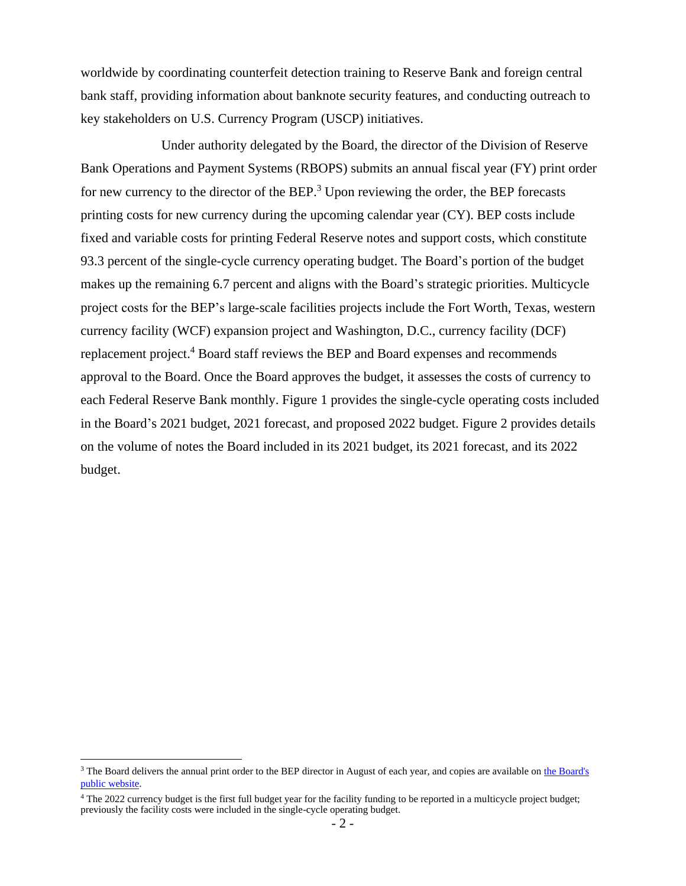worldwide by coordinating counterfeit detection training to Reserve Bank and foreign central bank staff, providing information about banknote security features, and conducting outreach to key stakeholders on U.S. Currency Program (USCP) initiatives.

Under authority delegated by the Board, the director of the Division of Reserve Bank Operations and Payment Systems (RBOPS) submits an annual fiscal year (FY) print order for new currency to the director of the BEP.<sup>3</sup> Upon reviewing the order, the BEP forecasts printing costs for new currency during the upcoming calendar year (CY). BEP costs include fixed and variable costs for printing Federal Reserve notes and support costs, which constitute 93.3 percent of the single-cycle currency operating budget. The Board's portion of the budget makes up the remaining 6.7 percent and aligns with the Board's strategic priorities. Multicycle project costs for the BEP's large-scale facilities projects include the Fort Worth, Texas, western currency facility (WCF) expansion project and Washington, D.C., currency facility (DCF) replacement project.<sup>4</sup> Board staff reviews the BEP and Board expenses and recommends approval to the Board. Once the Board approves the budget, it assesses the costs of currency to each Federal Reserve Bank monthly. Figure 1 provides the single-cycle operating costs included in the Board's 2021 budget, 2021 forecast, and proposed 2022 budget. Figure 2 provides details on the volume of notes the Board included in its 2021 budget, its 2021 forecast, and its 2022 budget.

<sup>&</sup>lt;sup>3</sup> The Board delivers the annual print order to the BEP director in August of each year, and copies are available on the Board's [public website.](http://www.federalreserve.gov/paymentsystems/coin_currency_orders.htm)

<sup>&</sup>lt;sup>4</sup> The 2022 currency budget is the first full budget year for the facility funding to be reported in a multicycle project budget; previously the facility costs were included in the single-cycle operating budget.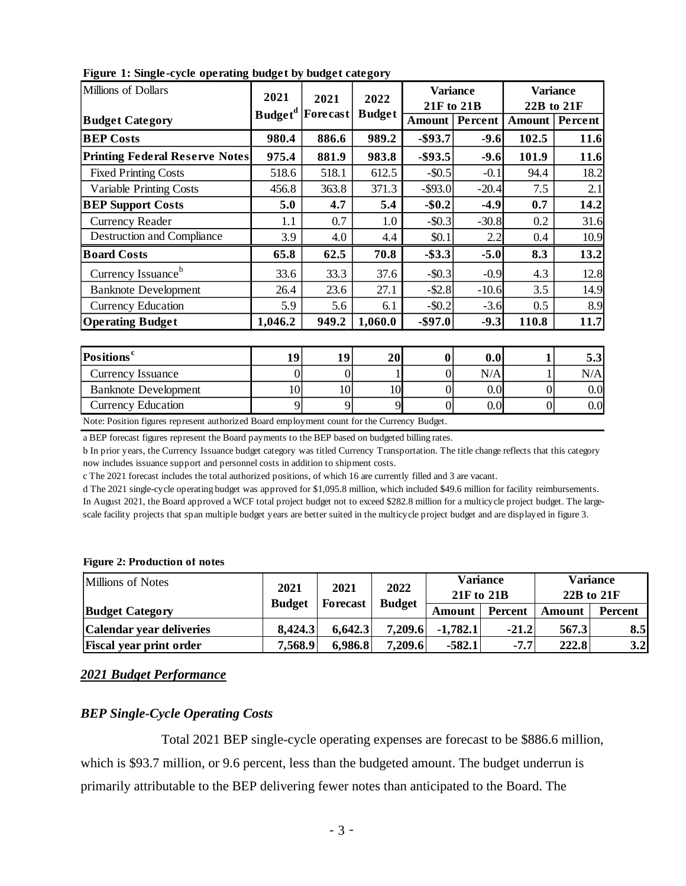| Millions of Dollars                   | 2021                | 2021<br><b>Forecast</b> | 2022<br><b>Budget</b> | <b>Variance</b><br>21F to 21B |         | <b>Variance</b><br>22B to 21F |         |
|---------------------------------------|---------------------|-------------------------|-----------------------|-------------------------------|---------|-------------------------------|---------|
| <b>Budget Category</b>                | Budget <sup>d</sup> |                         |                       | Amount                        | Percent | Amount                        | Percent |
| <b>BEP Costs</b>                      | 980.4               | 886.6                   | 989.2                 | $-$ \$93.7                    | $-9.6$  | 102.5                         | 11.6    |
| <b>Printing Federal Reserve Notes</b> | 975.4               | 881.9                   | 983.8                 | $-$ \$93.5                    | $-9.6$  | 101.9                         | 11.6    |
| <b>Fixed Printing Costs</b>           | 518.6               | 518.1                   | 612.5                 | $-$0.5$                       | $-0.1$  | 94.4                          | 18.2    |
| <b>Variable Printing Costs</b>        | 456.8               | 363.8                   | 371.3                 | $-$ \$93.0                    | $-20.4$ | 7.5                           | 2.1     |
| <b>BEP Support Costs</b>              | 5.0                 | 4.7                     | 5.4                   | $-$ \$0.2                     | $-4.9$  | 0.7                           | 14.2    |
| <b>Currency Reader</b>                | 1.1                 | 0.7                     | 1.0                   | $-$ \$0.3                     | $-30.8$ | 0.2                           | 31.6    |
| <b>Destruction and Compliance</b>     | 3.9                 | 4.0                     | 4.4                   | \$0.1                         | 2.2     | 0.4                           | 10.9    |
| <b>Board Costs</b>                    | 65.8                | 62.5                    | 70.8                  | $-$ \$3.3                     | $-5.0$  | 8.3                           | 13.2    |
| Currency Issuance <sup>b</sup>        | 33.6                | 33.3                    | 37.6                  | $-$ \$0.3                     | $-0.9$  | 4.3                           | 12.8    |
| <b>Banknote Development</b>           | 26.4                | 23.6                    | 27.1                  | $-$ \$2.8                     | $-10.6$ | 3.5                           | 14.9    |
| <b>Currency Education</b>             | 5.9                 | 5.6                     | 6.1                   | $-$ \$0.2                     | $-3.6$  | 0.5                           | 8.9     |
| <b>Operating Budget</b>               | 1,046.2             | 949.2                   | 1,060.0               | $-$ \$97.0                    | $-9.3$  | 110.8                         | 11.7    |

**Figure 1: Single-cycle operating budget by budget category**

| <b>Positions<sup>c</sup></b>                                                              | 19 | 1 0 | 20 | 0.0 |         |
|-------------------------------------------------------------------------------------------|----|-----|----|-----|---------|
| Currency Issuance                                                                         |    |     |    | N/A | N/A     |
| <b>Banknote Development</b>                                                               | 10 |     |    |     | 0.0     |
| <b>Currency Education</b>                                                                 |    |     |    |     | $0.0\,$ |
| Note: Doction figures represent outhorized Doord annivument count for the Currency Budget |    |     |    |     |         |

Note: Position figures represent authorized Board employment count for the Currency Budget.

a BEP forecast figures represent the Board payments to the BEP based on budgeted billing rates.

b In prior years, the Currency Issuance budget category was titled Currency Transportation. The title change reflects that this category now includes issuance support and personnel costs in addition to shipment costs.

c The 2021 forecast includes the total authorized positions, of which 16 are currently filled and 3 are vacant.

d The 2021 single-cycle operating budget was approved for \$1,095.8 million, which included \$49.6 million for facility reimbursements. In August 2021, the Board approved a WCF total project budget not to exceed \$282.8 million for a multicycle project budget. The largescale facility projects that span multiple budget years are better suited in the multicycle project budget and are displayed in figure 3.

#### **Figure 2: Production of notes**

| <b>Millions of Notes</b>       | 2021                             | 2021    | 2022          | Variance   |         | Variance   |                |
|--------------------------------|----------------------------------|---------|---------------|------------|---------|------------|----------------|
|                                |                                  |         |               | 21F to 21B |         | 22B to 21F |                |
| <b>Budget Category</b>         | <b>Budget</b><br><b>Forecast</b> |         | <b>Budget</b> | Amount     | Percent | Amount     | <b>Percent</b> |
| Calendar year deliveries       | 8,424.3                          | 6,642.3 | 7,209.6       | $-1,782.1$ | $-21.2$ | 567.3      | 8.5            |
| <b>Fiscal year print order</b> | 7,568.9                          | 6,986.8 | 7,209.6       | $-582.1$   | $-7.7$  | 222.8      | 3.2            |

### *2021 Budget Performance*

## *BEP Single-Cycle Operating Costs*

Total 2021 BEP single-cycle operating expenses are forecast to be \$886.6 million, which is \$93.7 million, or 9.6 percent, less than the budgeted amount. The budget underrun is primarily attributable to the BEP delivering fewer notes than anticipated to the Board. The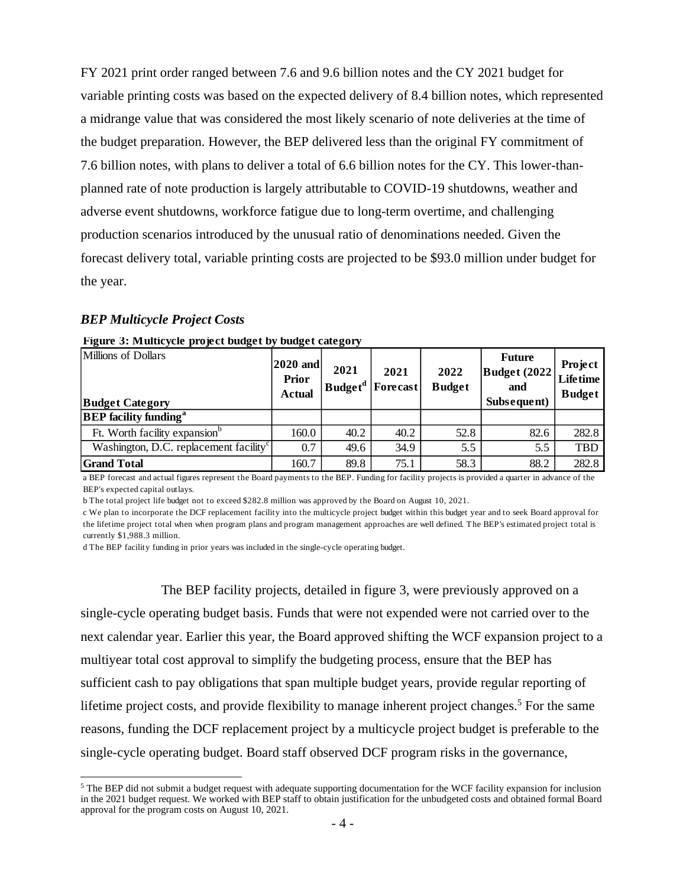FY 2021 print order ranged between 7.6 and 9.6 billion notes and the CY 2021 budget for variable printing costs was based on the expected delivery of 8.4 billion notes, which represented a midrange value that was considered the most likely scenario of note deliveries at the time of the budget preparation. However, the BEP delivered less than the original FY commitment of 7.6 billion notes, with plans to deliver a total of 6.6 billion notes for the CY. This lower-thanplanned rate of note production is largely attributable to COVID-19 shutdowns, weather and adverse event shutdowns, workforce fatigue due to long-term overtime, and challenging production scenarios introduced by the unusual ratio of denominations needed. Given the forecast delivery total, variable printing costs are projected to be \$93.0 million under budget for the year.

## *BEP Multicycle Project Costs*

| Millions of Dollars<br><b>Budget Category</b>      | $2020$ and<br><b>Prior</b><br><b>Actual</b> | 2021 | 2021<br>Budget <sup>d</sup>   Forecast | 2022<br><b>Budget</b> | <b>Future</b><br>Budget (2022)<br>and<br>Subsequent) | Project<br><b>Lifetime</b><br><b>Budget</b> |
|----------------------------------------------------|---------------------------------------------|------|----------------------------------------|-----------------------|------------------------------------------------------|---------------------------------------------|
| <b>BEP</b> facility funding <sup>a</sup>           |                                             |      |                                        |                       |                                                      |                                             |
| Ft. Worth facility expansion <sup>b</sup>          | 160.0                                       | 40.2 | 40.2                                   | 52.8                  | 82.6                                                 | 282.8                                       |
| Washington, D.C. replacement facility <sup>c</sup> | 0.7                                         | 49.6 | 34.9                                   | 5.5                   | 5.5                                                  | <b>TBD</b>                                  |
| <b>Grand Total</b>                                 | 160.7                                       | 89.8 | 75.1                                   | 58.3                  | 88.2                                                 | 282.8                                       |

| Figure 3: Multicycle project budget by budget category |  |  |  |  |  |
|--------------------------------------------------------|--|--|--|--|--|
|--------------------------------------------------------|--|--|--|--|--|

a BEP forecast and actual figures represent the Board payments to the BEP. Funding for facility projects is provided a quarter in advance of the BEP's expected capital outlays.

b The total project life budget not to exceed \$282.8 million was approved by the Board on August 10, 2021.

c We plan to incorporate the DCF replacement facility into the multicycle project budget within this budget year and to seek Board approval for the lifetime project total when when program plans and program management approaches are well defined. The BEP's estimated project total is currently \$1,988.3 million.

d The BEP facility funding in prior years was included in the single-cycle operating budget.

The BEP facility projects, detailed in figure 3, were previously approved on a single-cycle operating budget basis. Funds that were not expended were not carried over to the next calendar year. Earlier this year, the Board approved shifting the WCF expansion project to a multiyear total cost approval to simplify the budgeting process, ensure that the BEP has sufficient cash to pay obligations that span multiple budget years, provide regular reporting of lifetime project costs, and provide flexibility to manage inherent project changes.<sup>5</sup> For the same reasons, funding the DCF replacement project by a multicycle project budget is preferable to the single-cycle operating budget. Board staff observed DCF program risks in the governance,

 in the 2021 budget request. We worked with BEP staff to obtain justification for the unbudgeted costs and obtained formal Board <sup>5</sup> The BEP did not submit a budget request with adequate supporting documentation for the WCF facility expansion for inclusion approval for the program costs on August 10, 2021.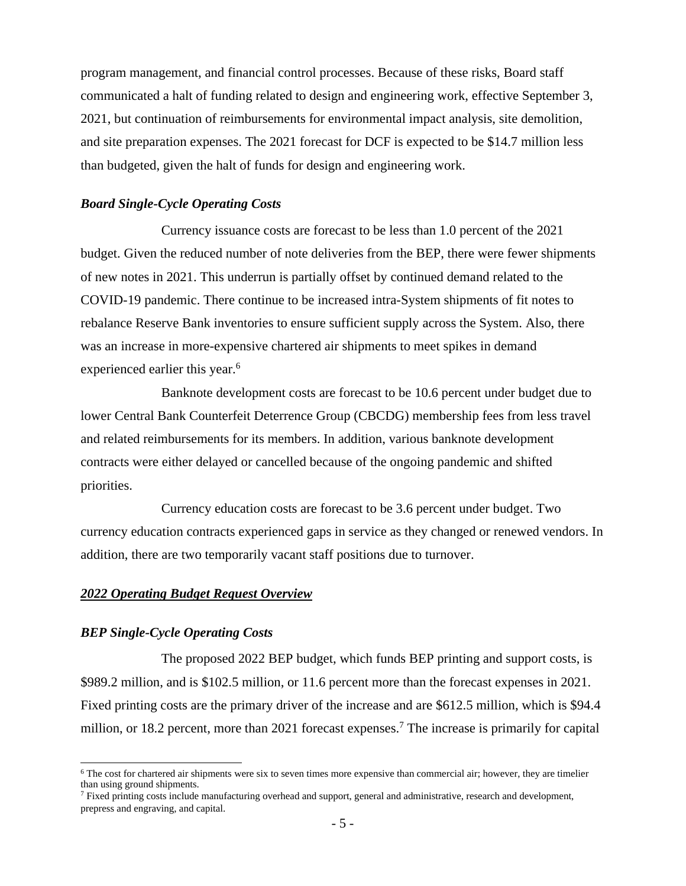program management, and financial control processes. Because of these risks, Board staff communicated a halt of funding related to design and engineering work, effective September 3, 2021, but continuation of reimbursements for environmental impact analysis, site demolition, and site preparation expenses. The 2021 forecast for DCF is expected to be \$14.7 million less than budgeted, given the halt of funds for design and engineering work.

### *Board Single-Cycle Operating Costs*

Currency issuance costs are forecast to be less than 1.0 percent of the 2021 budget. Given the reduced number of note deliveries from the BEP, there were fewer shipments of new notes in 2021. This underrun is partially offset by continued demand related to the COVID-19 pandemic. There continue to be increased intra-System shipments of fit notes to rebalance Reserve Bank inventories to ensure sufficient supply across the System. Also, there was an increase in more-expensive chartered air shipments to meet spikes in demand experienced earlier this year.<sup>6</sup>

Banknote development costs are forecast to be 10.6 percent under budget due to lower Central Bank Counterfeit Deterrence Group (CBCDG) membership fees from less travel and related reimbursements for its members. In addition, various banknote development contracts were either delayed or cancelled because of the ongoing pandemic and shifted priorities.

Currency education costs are forecast to be 3.6 percent under budget. Two currency education contracts experienced gaps in service as they changed or renewed vendors. In addition, there are two temporarily vacant staff positions due to turnover.

## *2022 Operating Budget Request Overview*

## *BEP Single-Cycle Operating Costs*

The proposed 2022 BEP budget, which funds BEP printing and support costs, is \$989.2 million, and is \$102.5 million, or 11.6 percent more than the forecast expenses in 2021. Fixed printing costs are the primary driver of the increase and are \$612.5 million, which is \$94.4 million, or 18.2 percent, more than 2021 forecast expenses.<sup>7</sup> The increase is primarily for capital

 $6$  The cost for chartered air shipments were six to seven times more expensive than commercial air; however, they are timelier than using ground shipments.

 $<sup>7</sup>$  Fixed printing costs include manufacturing overhead and support, general and administrative, research and development,</sup> prepress and engraving, and capital.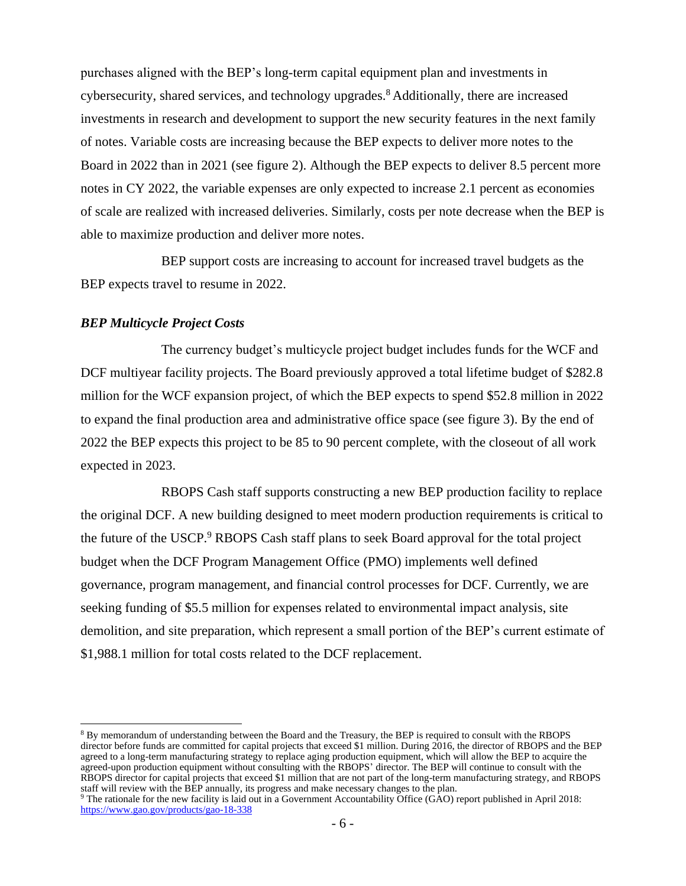purchases aligned with the BEP's long-term capital equipment plan and investments in cybersecurity, shared services, and technology upgrades.<sup>8</sup> Additionally, there are increased investments in research and development to support the new security features in the next family of notes. Variable costs are increasing because the BEP expects to deliver more notes to the Board in 2022 than in 2021 (see figure 2). Although the BEP expects to deliver 8.5 percent more notes in CY 2022, the variable expenses are only expected to increase 2.1 percent as economies of scale are realized with increased deliveries. Similarly, costs per note decrease when the BEP is able to maximize production and deliver more notes.

BEP support costs are increasing to account for increased travel budgets as the BEP expects travel to resume in 2022.

## *BEP Multicycle Project Costs*

The currency budget's multicycle project budget includes funds for the WCF and DCF multiyear facility projects. The Board previously approved a total lifetime budget of \$282.8 million for the WCF expansion project, of which the BEP expects to spend \$52.8 million in 2022 to expand the final production area and administrative office space (see figure 3). By the end of 2022 the BEP expects this project to be 85 to 90 percent complete, with the closeout of all work expected in 2023.

RBOPS Cash staff supports constructing a new BEP production facility to replace the original DCF. A new building designed to meet modern production requirements is critical to the future of the USCP.<sup>9</sup> RBOPS Cash staff plans to seek Board approval for the total project budget when the DCF Program Management Office (PMO) implements well defined governance, program management, and financial control processes for DCF. Currently, we are seeking funding of \$5.5 million for expenses related to environmental impact analysis, site demolition, and site preparation, which represent a small portion of the BEP's current estimate of \$1,988.1 million for total costs related to the DCF replacement.

 director before funds are committed for capital projects that exceed \$1 million. During 2016, the director of RBOPS and the BEP agreed to a long-term manufacturing strategy to replace aging production equipment, which will allow the BEP to acquire the agreed-upon production equipment without consulting with the RBOPS' director. The BEP will continue to consult with the  $\ddot{\phantom{0}}$ staff will review with the BEP annually, its progress and make necessary changes to the plan.<br><sup>9</sup> The rationale for the new facility is laid out in a Government Accountability Office (GAO) report published in April 2018: 8 By memorandum of understanding between the Board and the Treasury, the BEP is required to consult with the RBOPS RBOPS director for capital projects that exceed \$1 million that are not part of the long-term manufacturing strategy, and RBOPS

<https://www.gao.gov/products/gao-18-338>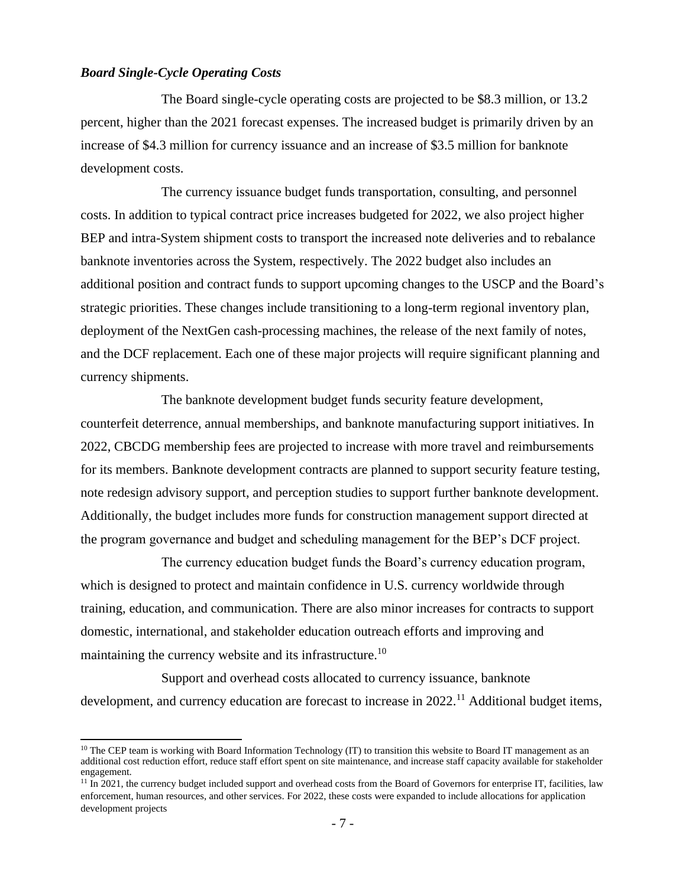## *Board Single-Cycle Operating Costs*

The Board single-cycle operating costs are projected to be \$8.3 million, or 13.2 percent, higher than the 2021 forecast expenses. The increased budget is primarily driven by an increase of \$4.3 million for currency issuance and an increase of \$3.5 million for banknote development costs.

The currency issuance budget funds transportation, consulting, and personnel costs. In addition to typical contract price increases budgeted for 2022, we also project higher BEP and intra-System shipment costs to transport the increased note deliveries and to rebalance banknote inventories across the System, respectively. The 2022 budget also includes an additional position and contract funds to support upcoming changes to the USCP and the Board's strategic priorities. These changes include transitioning to a long-term regional inventory plan, deployment of the NextGen cash-processing machines, the release of the next family of notes, and the DCF replacement. Each one of these major projects will require significant planning and currency shipments.

The banknote development budget funds security feature development, counterfeit deterrence, annual memberships, and banknote manufacturing support initiatives. In 2022, CBCDG membership fees are projected to increase with more travel and reimbursements for its members. Banknote development contracts are planned to support security feature testing, note redesign advisory support, and perception studies to support further banknote development. Additionally, the budget includes more funds for construction management support directed at the program governance and budget and scheduling management for the BEP's DCF project.

The currency education budget funds the Board's currency education program, which is designed to protect and maintain confidence in U.S. currency worldwide through training, education, and communication. There are also minor increases for contracts to support domestic, international, and stakeholder education outreach efforts and improving and maintaining the currency website and its infrastructure.<sup>10</sup>

Support and overhead costs allocated to currency issuance, banknote development, and currency education are forecast to increase in 2022.<sup>11</sup> Additional budget items,

 $10$  The CEP team is working with Board Information Technology (IT) to transition this website to Board IT management as an additional cost reduction effort, reduce staff effort spent on site maintenance, and increase staff capacity available for stakeholder engagement.

<sup>&</sup>lt;sup>11</sup> In 2021, the currency budget included support and overhead costs from the Board of Governors for enterprise IT, facilities, law enforcement, human resources, and other services. For 2022, these costs were expanded to include allocations for application development projects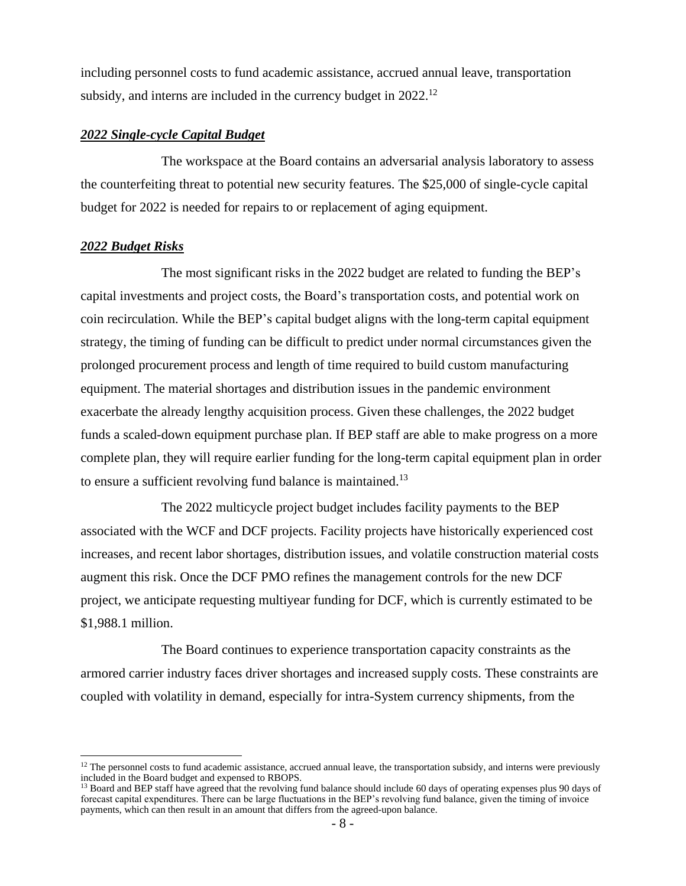including personnel costs to fund academic assistance, accrued annual leave, transportation subsidy, and interns are included in the currency budget in 2022.<sup>12</sup>

## *2022 Single-cycle Capital Budget*

The workspace at the Board contains an adversarial analysis laboratory to assess the counterfeiting threat to potential new security features. The \$25,000 of single-cycle capital budget for 2022 is needed for repairs to or replacement of aging equipment.

## *2022 Budget Risks*

The most significant risks in the 2022 budget are related to funding the BEP's capital investments and project costs, the Board's transportation costs, and potential work on coin recirculation. While the BEP's capital budget aligns with the long-term capital equipment strategy, the timing of funding can be difficult to predict under normal circumstances given the prolonged procurement process and length of time required to build custom manufacturing equipment. The material shortages and distribution issues in the pandemic environment exacerbate the already lengthy acquisition process. Given these challenges, the 2022 budget funds a scaled-down equipment purchase plan. If BEP staff are able to make progress on a more complete plan, they will require earlier funding for the long-term capital equipment plan in order to ensure a sufficient revolving fund balance is maintained.<sup>13</sup>

The 2022 multicycle project budget includes facility payments to the BEP associated with the WCF and DCF projects. Facility projects have historically experienced cost increases, and recent labor shortages, distribution issues, and volatile construction material costs augment this risk. Once the DCF PMO refines the management controls for the new DCF project, we anticipate requesting multiyear funding for DCF, which is currently estimated to be \$1,988.1 million.

The Board continues to experience transportation capacity constraints as the armored carrier industry faces driver shortages and increased supply costs. These constraints are coupled with volatility in demand, especially for intra-System currency shipments, from the

 $12$  The personnel costs to fund academic assistance, accrued annual leave, the transportation subsidy, and interns were previously included in the Board budget and expensed to RBOPS.

<sup>&</sup>lt;sup>13</sup> Board and BEP staff have agreed that the revolving fund balance should include 60 days of operating expenses plus 90 days of forecast capital expenditures. There can be large fluctuations in the BEP's revolving fund balance, given the timing of invoice payments, which can then result in an amount that differs from the agreed-upon balance.